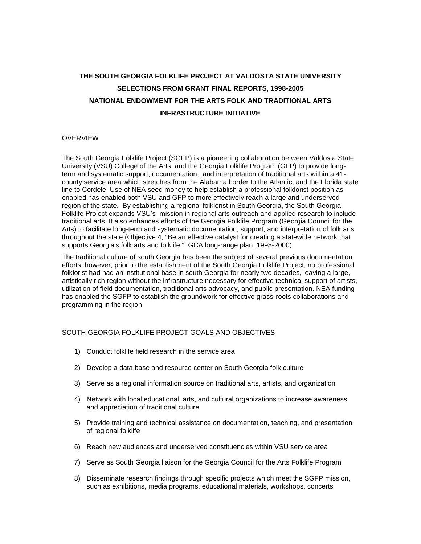# **THE SOUTH GEORGIA FOLKLIFE PROJECT AT VALDOSTA STATE UNIVERSITY SELECTIONS FROM GRANT FINAL REPORTS, 1998-2005 NATIONAL ENDOWMENT FOR THE ARTS FOLK AND TRADITIONAL ARTS INFRASTRUCTURE INITIATIVE**

### **OVERVIEW**

The South Georgia Folklife Project (SGFP) is a pioneering collaboration between Valdosta State University (VSU) College of the Arts and the Georgia Folklife Program (GFP) to provide longterm and systematic support, documentation, and interpretation of traditional arts within a 41 county service area which stretches from the Alabama border to the Atlantic, and the Florida state line to Cordele. Use of NEA seed money to help establish a professional folklorist position as enabled has enabled both VSU and GFP to more effectively reach a large and underserved region of the state. By establishing a regional folklorist in South Georgia, the South Georgia Folklife Project expands VSU's mission in regional arts outreach and applied research to include traditional arts. It also enhances efforts of the Georgia Folklife Program (Georgia Council for the Arts) to facilitate long-term and systematic documentation, support, and interpretation of folk arts throughout the state (Objective 4, "Be an effective catalyst for creating a statewide network that supports Georgia's folk arts and folklife," GCA long-range plan, 1998-2000).

The traditional culture of south Georgia has been the subject of several previous documentation efforts; however, prior to the establishment of the South Georgia Folklife Project, no professional folklorist had had an institutional base in south Georgia for nearly two decades, leaving a large, artistically rich region without the infrastructure necessary for effective technical support of artists, utilization of field documentation, traditional arts advocacy, and public presentation. NEA funding has enabled the SGFP to establish the groundwork for effective grass-roots collaborations and programming in the region.

## SOUTH GEORGIA FOLKLIFE PROJECT GOALS AND OBJECTIVES

- 1) Conduct folklife field research in the service area
- 2) Develop a data base and resource center on South Georgia folk culture
- 3) Serve as a regional information source on traditional arts, artists, and organization
- 4) Network with local educational, arts, and cultural organizations to increase awareness and appreciation of traditional culture
- 5) Provide training and technical assistance on documentation, teaching, and presentation of regional folklife
- 6) Reach new audiences and underserved constituencies within VSU service area
- 7) Serve as South Georgia liaison for the Georgia Council for the Arts Folklife Program
- 8) Disseminate research findings through specific projects which meet the SGFP mission, such as exhibitions, media programs, educational materials, workshops, concerts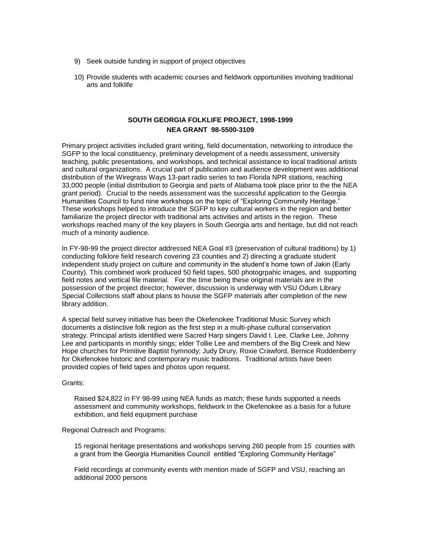- 9) Seek outside funding in support of project objectives
- 10) Provide students with academic courses and fieldwork opportunities involving traditional arts and folklife

## **SOUTH GEORGIA FOLKLIFE PROJECT, 1998-1999 NEA GRANT 98-5500-3109**

Primary project activities included grant writing, field documentation, networking to introduce the SGFP to the local constituency, preliminary development of a needs assessment, university teaching, public presentations, and workshops, and technical assistance to local traditional artists and cultural organizations. A crucial part of publication and audience development was additional distribution of the Wiregrass Ways 13-part radio series to two Florida NPR stations, reaching 33,000 people (initial distribution to Georgia and parts of Alabama took place prior to the the NEA grant period). Crucial to the needs assessment was the successful application to the Georgia Humanities Council to fund nine workshops on the topic of "Exploring Community Heritage." These workshops helped to introduce the SGFP to key cultural workers in the region and better familiarize the project director with traditional arts activities and artists in the region. These workshops reached many of the key players in South Georgia arts and heritage, but did not reach much of a minority audience.

In FY-98-99 the project director addressed NEA Goal #3 (preservation of cultural traditions) by 1) conducting folklore field research covering 23 counties and 2) directing a graduate student independent study project on culture and community in the student's home town of Jakin (Early County). This combined work produced 50 field tapes, 500 photogrpahic images, and supporting field notes and vertical file material. For the time being these original materials are in the possession of the project director; however, discussion is underway with VSU Odum Library Special Collections staff about plans to house the SGFP materials after completion of the new library addition.

A special field survey initiative has been the Okefenokee Traditional Music Survey which documents a distinctive folk region as the first step in a multi-phase cultural conservation strategy. Principal artists identified were Sacred Harp singers David I. Lee, Clarke Lee, Johnny Lee and participants in monthly sings; elder Tollie Lee and members of the Big Creek and New Hope churches for Primitive Baptist hymnody; Judy Drury, Roxie Crawford, Bernice Roddenberry for Okefenokee historic and contemporary music traditions. Traditional artists have been provided copies of field tapes and photos upon request.

Grants:

Raised \$24,822 in FY 98-99 using NEA funds as match; these funds supported a needs assessment and community workshops, fieldwork in the Okefenokee as a basis for a future exhibition, and field equipment purchase

Regional Outreach and Programs:

15 regional heritage presentations and workshops serving 260 people from 15 counties with a grant from the Georgia Humanities Council entitled "Exploring Community Heritage"

Field recordings at community events with mention made of SGFP and VSU, reaching an additional 2000 persons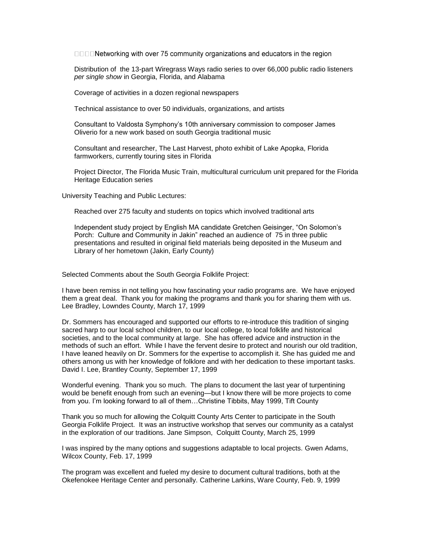□□□□Networking with over 75 community organizations and educators in the region

Distribution of the 13-part Wiregrass Ways radio series to over 66,000 public radio listeners *per single show* in Georgia, Florida, and Alabama

Coverage of activities in a dozen regional newspapers

Technical assistance to over 50 individuals, organizations, and artists

Consultant to Valdosta Symphony's 10th anniversary commission to composer James Oliverio for a new work based on south Georgia traditional music

Consultant and researcher, The Last Harvest, photo exhibit of Lake Apopka, Florida farmworkers, currently touring sites in Florida

Project Director, The Florida Music Train, multicultural curriculum unit prepared for the Florida Heritage Education series

University Teaching and Public Lectures:

Reached over 275 faculty and students on topics which involved traditional arts

Independent study project by English MA candidate Gretchen Geisinger, "On Solomon's Porch: Culture and Community in Jakin" reached an audience of 75 in three public presentations and resulted in original field materials being deposited in the Museum and Library of her hometown (Jakin, Early County)

Selected Comments about the South Georgia Folklife Project:

I have been remiss in not telling you how fascinating your radio programs are. We have enjoyed them a great deal. Thank you for making the programs and thank you for sharing them with us. Lee Bradley, Lowndes County, March 17, 1999

Dr. Sommers has encouraged and supported our efforts to re-introduce this tradition of singing sacred harp to our local school children, to our local college, to local folklife and historical societies, and to the local community at large. She has offered advice and instruction in the methods of such an effort. While I have the fervent desire to protect and nourish our old tradition, I have leaned heavily on Dr. Sommers for the expertise to accomplish it. She has guided me and others among us with her knowledge of folklore and with her dedication to these important tasks. David I. Lee, Brantley County, September 17, 1999

Wonderful evening. Thank you so much. The plans to document the last year of turpentining would be benefit enough from such an evening—but I know there will be more projects to come from you. I'm looking forward to all of them…Christine Tibbits, May 1999, Tift County

Thank you so much for allowing the Colquitt County Arts Center to participate in the South Georgia Folklife Project. It was an instructive workshop that serves our community as a catalyst in the exploration of our traditions. Jane Simpson, Colquitt County, March 25, 1999

I was inspired by the many options and suggestions adaptable to local projects. Gwen Adams, Wilcox County, Feb. 17, 1999

The program was excellent and fueled my desire to document cultural traditions, both at the Okefenokee Heritage Center and personally. Catherine Larkins, Ware County, Feb. 9, 1999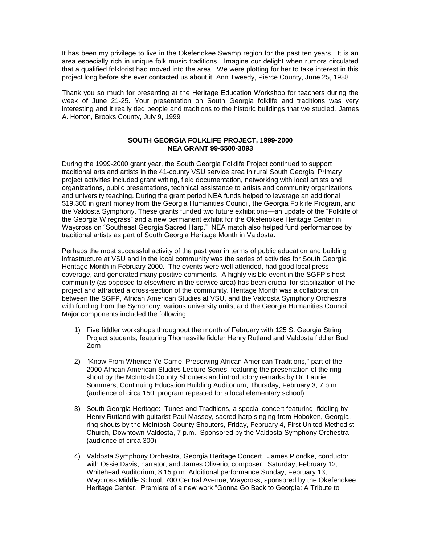It has been my privilege to live in the Okefenokee Swamp region for the past ten years. It is an area especially rich in unique folk music traditions…Imagine our delight when rumors circulated that a qualified folklorist had moved into the area. We were plotting for her to take interest in this project long before she ever contacted us about it. Ann Tweedy, Pierce County, June 25, 1988

Thank you so much for presenting at the Heritage Education Workshop for teachers during the week of June 21-25. Your presentation on South Georgia folklife and traditions was very interesting and it really tied people and traditions to the historic buildings that we studied. James A. Horton, Brooks County, July 9, 1999

#### **SOUTH GEORGIA FOLKLIFE PROJECT, 1999-2000 NEA GRANT 99-5500-3093**

During the 1999-2000 grant year, the South Georgia Folklife Project continued to support traditional arts and artists in the 41-county VSU service area in rural South Georgia. Primary project activities included grant writing, field documentation, networking with local artists and organizations, public presentations, technical assistance to artists and community organizations, and university teaching. During the grant period NEA funds helped to leverage an additional \$19,300 in grant money from the Georgia Humanities Council, the Georgia Folklife Program, and the Valdosta Symphony. These grants funded two future exhibitions—an update of the "Folklife of the Georgia Wiregrass" and a new permanent exhibit for the Okefenokee Heritage Center in Waycross on "Southeast Georgia Sacred Harp." NEA match also helped fund performances by traditional artists as part of South Georgia Heritage Month in Valdosta.

Perhaps the most successful activity of the past year in terms of public education and building infrastructure at VSU and in the local community was the series of activities for South Georgia Heritage Month in February 2000. The events were well attended, had good local press coverage, and generated many positive comments. A highly visible event in the SGFP's host community (as opposed to elsewhere in the service area) has been crucial for stabilization of the project and attracted a cross-section of the community. Heritage Month was a collaboration between the SGFP, African American Studies at VSU, and the Valdosta Symphony Orchestra with funding from the Symphony, various university units, and the Georgia Humanities Council. Major components included the following:

- 1) Five fiddler workshops throughout the month of February with 125 S. Georgia String Project students, featuring Thomasville fiddler Henry Rutland and Valdosta fiddler Bud Zorn
- 2) "Know From Whence Ye Came: Preserving African American Traditions," part of the 2000 African American Studies Lecture Series, featuring the presentation of the ring shout by the McIntosh County Shouters and introductory remarks by Dr. Laurie Sommers, Continuing Education Building Auditorium, Thursday, February 3, 7 p.m. (audience of circa 150; program repeated for a local elementary school)
- 3) South Georgia Heritage: Tunes and Traditions, a special concert featuring fiddling by Henry Rutland with guitarist Paul Massey, sacred harp singing from Hoboken, Georgia, ring shouts by the McIntosh County Shouters, Friday, February 4, First United Methodist Church, Downtown Valdosta, 7 p.m. Sponsored by the Valdosta Symphony Orchestra (audience of circa 300)
- 4) Valdosta Symphony Orchestra, Georgia Heritage Concert. James Plondke, conductor with Ossie Davis, narrator, and James Oliverio, composer. Saturday, February 12, Whitehead Auditorium, 8:15 p.m. Additional performance Sunday, February 13, Waycross Middle School, 700 Central Avenue, Waycross, sponsored by the Okefenokee Heritage Center. Premiere of a new work "Gonna Go Back to Georgia: A Tribute to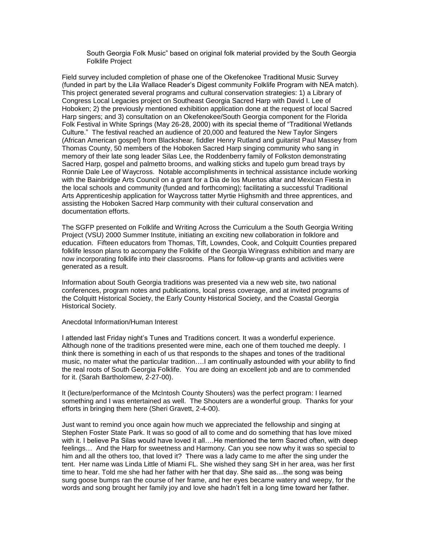South Georgia Folk Music" based on original folk material provided by the South Georgia Folklife Project

Field survey included completion of phase one of the Okefenokee Traditional Music Survey (funded in part by the Lila Wallace Reader's Digest community Folklife Program with NEA match). This project generated several programs and cultural conservation strategies: 1) a Library of Congress Local Legacies project on Southeast Georgia Sacred Harp with David I. Lee of Hoboken; 2) the previously mentioned exhibition application done at the request of local Sacred Harp singers; and 3) consultation on an Okefenokee/South Georgia component for the Florida Folk Festival in White Springs (May 26-28, 2000) with its special theme of "Traditional Wetlands Culture." The festival reached an audience of 20,000 and featured the New Taylor Singers (African American gospel) from Blackshear, fiddler Henry Rutland and guitarist Paul Massey from Thomas County, 50 members of the Hoboken Sacred Harp singing community who sang in memory of their late song leader Silas Lee, the Roddenberry family of Folkston demonstrating Sacred Harp, gospel and palmetto brooms, and walking sticks and tupelo gum bread trays by Ronnie Dale Lee of Waycross. Notable accomplishments in technical assistance include working with the Bainbridge Arts Council on a grant for a Dia de los Muertos altar and Mexican Fiesta in the local schools and community (funded and forthcoming); facilitating a successful Traditional Arts Apprenticeship application for Waycross tatter Myrtie Highsmith and three apprentices, and assisting the Hoboken Sacred Harp community with their cultural conservation and documentation efforts.

The SGFP presented on Folklife and Writing Across the Curriculum a the South Georgia Writing Proiect (VSU) 2000 Summer Institute, initiating an exciting new collaboration in folklore and education. Fifteen educators from Thomas, Tift, Lowndes, Cook, and Colquitt Counties prepared folklife lesson plans to accompany the Folklife of the Georgia Wiregrass exhibition and many are now incorporating folklife into their classrooms. Plans for follow-up grants and activities were generated as a result.

Information about South Georgia traditions was presented via a new web site, two national conferences, program notes and publications, local press coverage, and at invited programs of the Colquitt Historical Society, the Early County Historical Society, and the Coastal Georgia Historical Society.

Anecdotal Information/Human Interest

I attended last Friday night's Tunes and Traditions concert. It was a wonderful experience. Although none of the traditions presented were mine, each one of them touched me deeply. I think there is something in each of us that responds to the shapes and tones of the traditional music, no mater what the particular tradition….I am continually astounded with your ability to find the real roots of South Georgia Folklife. You are doing an excellent job and are to commended for it. (Sarah Bartholomew, 2-27-00).

It (lecture/performance of the McIntosh County Shouters) was the perfect program: I learned something and I was entertained as well. The Shouters are a wonderful group. Thanks for your efforts in bringing them here (Sheri Gravett, 2-4-00).

Just want to remind you once again how much we appreciated the fellowship and singing at Stephen Foster State Park. It was so good of all to come and do something that has love mixed with it. I believe Pa Silas would have loved it all….He mentioned the term Sacred often, with deep feelings… And the Harp for sweetness and Harmony. Can you see now why it was so special to him and all the others too, that loved it? There was a lady came to me after the sing under the tent. Her name was Linda Little of Miami FL. She wished they sang SH in her area, was her first time to hear. Told me she had her father with her that day. She said as…the song was being sung goose bumps ran the course of her frame, and her eyes became watery and weepy, for the words and song brought her family joy and love she hadn't felt in a long time toward her father.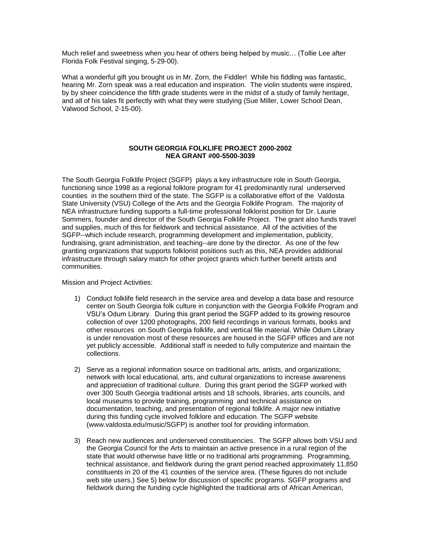Much relief and sweetness when you hear of others being helped by music… (Tollie Lee after Florida Folk Festival singing, 5-29-00).

What a wonderful gift you brought us in Mr. Zorn, the Fiddler! While his fiddling was fantastic, hearing Mr. Zorn speak was a real education and inspiration. The violin students were inspired, by by sheer coincidence the fifth grade students were in the midst of a study of family heritage, and all of his tales fit perfectly with what they were studying (Sue Miller, Lower School Dean, Valwood School, 2-15-00).

### **SOUTH GEORGIA FOLKLIFE PROJECT 2000-2002 NEA GRANT #00-5500-3039**

The South Georgia Folklife Project (SGFP) plays a key infrastructure role in South Georgia, functioning since 1998 as a regional folklore program for 41 predominantly rural underserved counties in the southern third of the state. The SGFP is a collaborative effort of the Valdosta State University (VSU) College of the Arts and the Georgia Folklife Program. The majority of NEA infrastructure funding supports a full-time professional folklorist position for Dr. Laurie Sommers, founder and director of the South Georgia Folklife Project. The grant also funds travel and supplies, much of this for fieldwork and technical assistance. All of the activities of the SGFP--which include research, programming development and implementation, publicity, fundraising, grant administration, and teaching--are done by the director. As one of the few granting organizations that supports folklorist positions such as this, NEA provides additional infrastructure through salary match for other project grants which further benefit artists and communities.

Mission and Project Activities:

- 1) Conduct folklife field research in the service area and develop a data base and resource center on South Georgia folk culture in conjunction with the Georgia Folklife Program and VSU's Odum Library. During this grant period the SGFP added to its growing resource collection of over 1200 photographs, 200 field recordings in various formats, books and other resources on South Georgia folklife, and vertical file material. While Odum Library is under renovation most of these resources are housed in the SGFP offices and are not yet publicly accessible. Additional staff is needed to fully computerize and maintain the collections.
- 2) Serve as a regional information source on traditional arts, artists, and organizations; network with local educational, arts, and cultural organizations to increase awareness and appreciation of traditional culture. During this grant period the SGFP worked with over 300 South Georgia traditional artists and 18 schools, libraries, arts councils, and local museums to provide training, programming and technical assistance on documentation, teaching, and presentation of regional folklife. A major new initiative during this funding cycle involved folklore and education. The SGFP website (www.valdosta.edu/music/SGFP) is another tool for providing information.
- 3) Reach new audiences and underserved constituencies. The SGFP allows both VSU and the Georgia Council for the Arts to maintain an active presence in a rural region of the state that would otherwise have little or no traditional arts programming. Programming, technical assistance, and fieldwork during the grant period reached approximately 11,850 constituents in 20 of the 41 counties of the service area. (These figures do not include web site users.) See 5) below for discussion of specific programs. SGFP programs and fieldwork during the funding cycle highlighted the traditional arts of African American,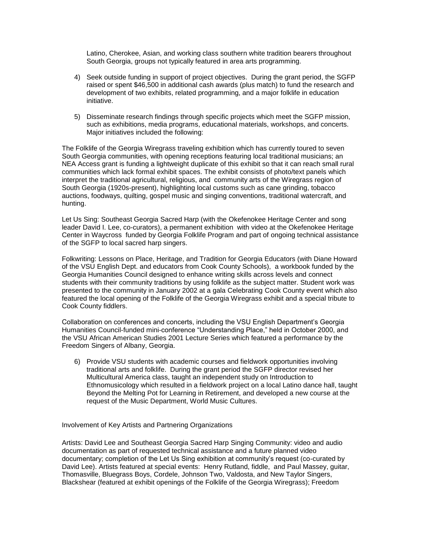Latino, Cherokee, Asian, and working class southern white tradition bearers throughout South Georgia, groups not typically featured in area arts programming.

- 4) Seek outside funding in support of project objectives. During the grant period, the SGFP raised or spent \$46,500 in additional cash awards (plus match) to fund the research and development of two exhibits, related programming, and a major folklife in education initiative.
- 5) Disseminate research findings through specific projects which meet the SGFP mission, such as exhibitions, media programs, educational materials, workshops, and concerts. Major initiatives included the following:

The Folklife of the Georgia Wiregrass traveling exhibition which has currently toured to seven South Georgia communities, with opening receptions featuring local traditional musicians; an NEA Access grant is funding a lightweight duplicate of this exhibit so that it can reach small rural communities which lack formal exhibit spaces. The exhibit consists of photo/text panels which interpret the traditional agricultural, religious, and community arts of the Wiregrass region of South Georgia (1920s-present), highlighting local customs such as cane grinding, tobacco auctions, foodways, quilting, gospel music and singing conventions, traditional watercraft, and hunting.

Let Us Sing: Southeast Georgia Sacred Harp (with the Okefenokee Heritage Center and song leader David I. Lee, co-curators), a permanent exhibition with video at the Okefenokee Heritage Center in Waycross funded by Georgia Folklife Program and part of ongoing technical assistance of the SGFP to local sacred harp singers.

Folkwriting: Lessons on Place, Heritage, and Tradition for Georgia Educators (with Diane Howard of the VSU English Dept. and educators from Cook County Schools), a workbook funded by the Georgia Humanities Council designed to enhance writing skills across levels and connect students with their community traditions by using folklife as the subject matter. Student work was presented to the community in January 2002 at a gala Celebrating Cook County event which also featured the local opening of the Folklife of the Georgia Wiregrass exhibit and a special tribute to Cook County fiddlers.

Collaboration on conferences and concerts, including the VSU English Department's Georgia Humanities Council-funded mini-conference "Understanding Place," held in October 2000, and the VSU African American Studies 2001 Lecture Series which featured a performance by the Freedom Singers of Albany, Georgia.

6) Provide VSU students with academic courses and fieldwork opportunities involving traditional arts and folklife. During the grant period the SGFP director revised her Multicultural America class, taught an independent study on Introduction to Ethnomusicology which resulted in a fieldwork project on a local Latino dance hall, taught Beyond the Melting Pot for Learning in Retirement, and developed a new course at the request of the Music Department, World Music Cultures.

Involvement of Key Artists and Partnering Organizations

Artists: David Lee and Southeast Georgia Sacred Harp Singing Community: video and audio documentation as part of requested technical assistance and a future planned video documentary; completion of the Let Us Sing exhibition at community's request (co-curated by David Lee). Artists featured at special events: Henry Rutland, fiddle, and Paul Massey, guitar, Thomasville, Bluegrass Boys, Cordele, Johnson Two, Valdosta, and New Taylor Singers, Blackshear (featured at exhibit openings of the Folklife of the Georgia Wiregrass); Freedom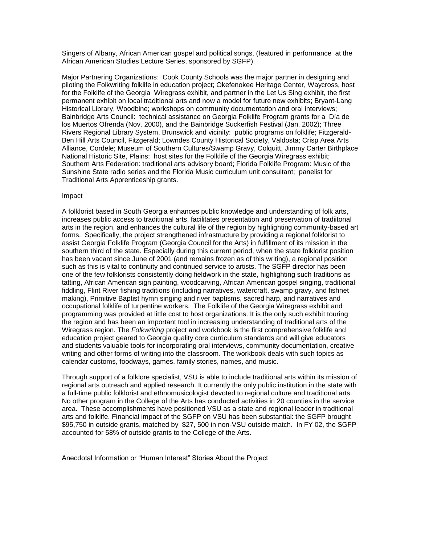Singers of Albany, African American gospel and political songs, (featured in performance at the African American Studies Lecture Series, sponsored by SGFP).

Major Partnering Organizations: Cook County Schools was the major partner in designing and piloting the Folkwriting folklife in education project; Okefenokee Heritage Center, Waycross, host for the Folklife of the Georgia Wiregrass exhibit, and partner in the Let Us Sing exhibit, the first permanent exhibit on local traditional arts and now a model for future new exhibits; Bryant-Lang Historical Library, Woodbine; workshops on community documentation and oral interviews; Bainbridge Arts Council: technical assistance on Georgia Folklife Program grants for a Día de los Muertos Ofrenda (Nov. 2000), and the Bainbridge Suckerfish Festival (Jan. 2002); Three Rivers Regional Library System, Brunswick and vicinity: public programs on folklife; Fitzgerald-Ben Hill Arts Council, Fitzgerald; Lowndes County Historical Society, Valdosta; Crisp Area Arts Alliance, Cordele; Museum of Southern Cultures/Swamp Gravy, Colquitt, Jimmy Carter Birthplace National Historic Site, Plains: host sites for the Folklife of the Georgia Wiregrass exhibit; Southern Arts Federation: traditional arts advisory board; Florida Folklife Program: Music of the Sunshine State radio series and the Florida Music curriculum unit consultant; panelist for Traditional Arts Apprenticeship grants.

#### Impact

A folklorist based in South Georgia enhances public knowledge and understanding of folk arts, increases public access to traditional arts, facilitates presentation and preservation of tradiitonal arts in the region, and enhances the cultural life of the region by highlighting community-based art forms. Specifically, the project strengthened infrastructure by providing a regional folklorist to assist Georgia Folklife Program (Georgia Council for the Arts) in fulfillment of its mission in the southern third of the state. Especially during this current period, when the state folklorist position has been vacant since June of 2001 (and remains frozen as of this writing), a regional position such as this is vital to continuity and continued service to artists. The SGFP director has been one of the few folklorists consistently doing fieldwork in the state, highlighting such traditions as tatting, African American sign painting, woodcarving, African American gospel singing, traditional fiddling, Flint River fishing traditions (including narratives, watercraft, swamp gravy, and fishnet making), Primitive Baptist hymn singing and river baptisms, sacred harp, and narratives and occupational folklife of turpentine workers. The Folklife of the Georgia Wiregrass exhibit and programming was provided at little cost to host organizations. It is the only such exhibit touring the region and has been an important tool in increasing understanding of traditional arts of the Wiregrass region. The *Folkwriting* project and workbook is the first comprehensive folklife and education project geared to Georgia quality core curriculum standards and will give educators and students valuable tools for incorporating oral interviews, community documentation, creative writing and other forms of writing into the classroom. The workbook deals with such topics as calendar customs, foodways, games, family stories, names, and music.

Through support of a folklore specialist, VSU is able to include traditional arts within its mission of regional arts outreach and applied research. It currently the only public institution in the state with a full-time public folklorist and ethnomusicologist devoted to regional culture and traditional arts. No other program in the College of the Arts has conducted activities in 20 counties in the service area. These accomplishments have positioned VSU as a state and regional leader in traditional arts and folklife. Financial impact of the SGFP on VSU has been substantial: the SGFP brought \$95,750 in outside grants, matched by \$27, 500 in non-VSU outside match. In FY 02, the SGFP accounted for 58% of outside grants to the College of the Arts.

Anecdotal Information or "Human Interest" Stories About the Project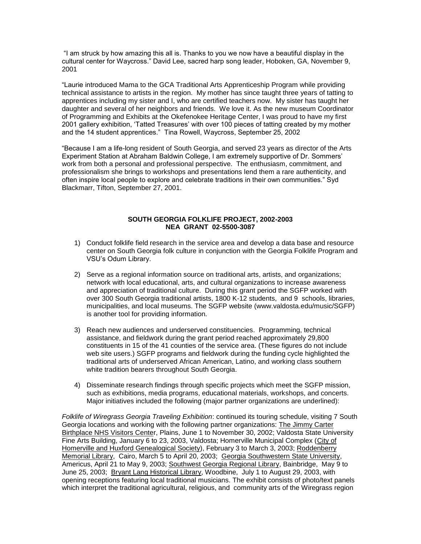"I am struck by how amazing this all is. Thanks to you we now have a beautiful display in the cultural center for Waycross." David Lee, sacred harp song leader, Hoboken, GA, November 9, 2001

"Laurie introduced Mama to the GCA Traditional Arts Apprenticeship Program while providing technical assistance to artists in the region. My mother has since taught three years of tatting to apprentices including my sister and I, who are certified teachers now. My sister has taught her daughter and several of her neighbors and friends. We love it. As the new museum Coordinator of Programming and Exhibits at the Okefenokee Heritage Center, I was proud to have my first 2001 gallery exhibition, 'Tatted Treasures' with over 100 pieces of tatting created by my mother and the 14 student apprentices." Tina Rowell, Waycross, September 25, 2002

"Because I am a life-long resident of South Georgia, and served 23 years as director of the Arts Experiment Station at Abraham Baldwin College, I am extremely supportive of Dr. Sommers' work from both a personal and professional perspective. The enthusiasm, commitment, and professionalism she brings to workshops and presentations lend them a rare authenticity, and often inspire local people to explore and celebrate traditions in their own communities." Syd Blackmarr, Tifton, September 27, 2001.

#### **SOUTH GEORGIA FOLKLIFE PROJECT, 2002-2003 NEA GRANT 02-5500-3087**

- 1) Conduct folklife field research in the service area and develop a data base and resource center on South Georgia folk culture in conjunction with the Georgia Folklife Program and VSU's Odum Library.
- 2) Serve as a regional information source on traditional arts, artists, and organizations; network with local educational, arts, and cultural organizations to increase awareness and appreciation of traditional culture. During this grant period the SGFP worked with over 300 South Georgia traditional artists, 1800 K-12 students, and 9 schools, libraries, municipalities, and local museums. The SGFP website (www.valdosta.edu/music/SGFP) is another tool for providing information.
- 3) Reach new audiences and underserved constituencies. Programming, technical assistance, and fieldwork during the grant period reached approximately 29,800 constituents in 15 of the 41 counties of the service area. (These figures do not include web site users.) SGFP programs and fieldwork during the funding cycle highlighted the traditional arts of underserved African American, Latino, and working class southern white tradition bearers throughout South Georgia.
- 4) Disseminate research findings through specific projects which meet the SGFP mission, such as exhibitions, media programs, educational materials, workshops, and concerts. Major initiatives included the following (major partner organizations are underlined):

*Folklife of Wiregrass Georgia Traveling Exhibition*: continued its touring schedule, visiting 7 South Georgia locations and working with the following partner organizations: The Jimmy Carter Birthplace NHS Visitors Center, Plains, June 1 to November 30, 2002; Valdosta State University Fine Arts Building, January 6 to 23, 2003, Valdosta; Homerville Municipal Complex (City of Homerville and Huxford Genealogical Society), February 3 to March 3, 2003; Roddenberry Memorial Library, Cairo, March 5 to April 20, 2003; Georgia Southwestern State University, Americus, April 21 to May 9, 2003; Southwest Georgia Regional Library, Bainbridge, May 9 to June 25, 2003; Bryant Lang Historical Library, Woodbine, July 1 to August 29, 2003, with opening receptions featuring local traditional musicians. The exhibit consists of photo/text panels which interpret the traditional agricultural, religious, and community arts of the Wiregrass region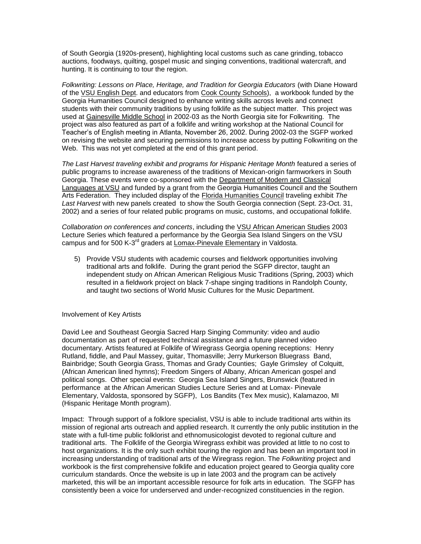of South Georgia (1920s-present), highlighting local customs such as cane grinding, tobacco auctions, foodways, quilting, gospel music and singing conventions, traditional watercraft, and hunting. It is continuing to tour the region.

*Folkwriting: Lessons on Place, Heritage, and Tradition for Georgia Educators* (with Diane Howard of the VSU English Dept. and educators from Cook County Schools), a workbook funded by the Georgia Humanities Council designed to enhance writing skills across levels and connect students with their community traditions by using folklife as the subject matter. This project was used at Gainesville Middle School in 2002-03 as the North Georgia site for Folkwriting. The project was also featured as part of a folklife and writing workshop at the National Council for Teacher's of English meeting in Atlanta, November 26, 2002. During 2002-03 the SGFP worked on revising the website and securing permissions to increase access by putting Folkwriting on the Web. This was not yet completed at the end of this grant period.

*The Last Harvest traveling exhibit and programs for Hispanic Heritage Month* featured a series of public programs to increase awareness of the traditions of Mexican-origin farmworkers in South Georgia. These events were co-sponsored with the Department of Modern and Classical Languages at VSU and funded by a grant from the Georgia Humanities Council and the Southern Arts Federation. They included display of the Florida Humanities Council traveling exhibit *The Last Harvest* with new panels created to show the South Georgia connection (Sept. 23-Oct. 31, 2002) and a series of four related public programs on music, customs, and occupational folklife.

*Collaboration on conferences and concerts*, including the VSU African American Studies 2003 Lecture Series which featured a performance by the Georgia Sea Island Singers on the VSU campus and for 500 K-3<sup>rd</sup> graders at Lomax-Pinevale Elementary in Valdosta.

5) Provide VSU students with academic courses and fieldwork opportunities involving traditional arts and folklife. During the grant period the SGFP director, taught an independent study on African American Religious Music Traditions (Spring, 2003) which resulted in a fieldwork project on black 7-shape singing traditions in Randolph County, and taught two sections of World Music Cultures for the Music Department.

#### Involvement of Key Artists

David Lee and Southeast Georgia Sacred Harp Singing Community: video and audio documentation as part of requested technical assistance and a future planned video documentary. Artists featured at Folklife of Wiregrass Georgia opening receptions: Henry Rutland, fiddle, and Paul Massey, guitar, Thomasville; Jerry Murkerson Bluegrass Band, Bainbridge; South Georgia Grass, Thomas and Grady Counties; Gayle Grimsley of Colquitt, (African American lined hymns); Freedom Singers of Albany, African American gospel and political songs. Other special events: Georgia Sea Island Singers, Brunswick (featured in performance at the African American Studies Lecture Series and at Lomax- Pinevale Elementary, Valdosta, sponsored by SGFP), Los Bandits (Tex Mex music), Kalamazoo, MI (Hispanic Heritage Month program).

Impact: Through support of a folklore specialist, VSU is able to include traditional arts within its mission of regional arts outreach and applied research. It currently the only public institution in the state with a full-time public folklorist and ethnomusicologist devoted to regional culture and traditional arts. The Folklife of the Georgia Wiregrass exhibit was provided at little to no cost to host organizations. It is the only such exhibit touring the region and has been an important tool in increasing understanding of traditional arts of the Wiregrass region. The *Folkwriting* project and workbook is the first comprehensive folklife and education project geared to Georgia quality core curriculum standards. Once the website is up in late 2003 and the program can be actively marketed, this will be an important accessible resource for folk arts in education. The SGFP has consistently been a voice for underserved and under-recognized constituencies in the region.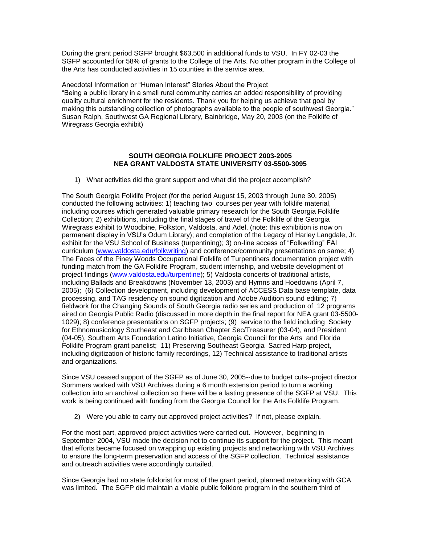During the grant period SGFP brought \$63,500 in additional funds to VSU. In FY 02-03 the SGFP accounted for 58% of grants to the College of the Arts. No other program in the College of the Arts has conducted activities in 15 counties in the service area.

Anecdotal Information or "Human Interest" Stories About the Project "Being a public library in a small rural community carries an added responsibility of providing quality cultural enrichment for the residents. Thank you for helping us achieve that goal by making this outstanding collection of photographs available to the people of southwest Georgia." Susan Ralph, Southwest GA Regional Library, Bainbridge, May 20, 2003 (on the Folklife of Wiregrass Georgia exhibit)

#### **SOUTH GEORGIA FOLKLIFE PROJECT 2003-2005 NEA GRANT VALDOSTA STATE UNIVERSITY 03-5500-3095**

1) What activities did the grant support and what did the project accomplish?

The South Georgia Folklife Project (for the period August 15, 2003 through June 30, 2005) conducted the following activities: 1) teaching two courses per year with folklife material, including courses which generated valuable primary research for the South Georgia Folklife Collection; 2) exhibitions, including the final stages of travel of the Folklife of the Georgia Wiregrass exhibit to Woodbine, Folkston, Valdosta, and Adel, (note: this exhibition is now on permanent display in VSU's Odum Library); and completion of the Legacy of Harley Langdale, Jr. exhibit for the VSU School of Business (turpentining); 3) on-line access of "Folkwriting" FAI curriculum [\(www.valdosta.edu/folkwriting\)](http://www.valdosta.edu/folkwriting) and conference/community presentations on same; 4) The Faces of the Piney Woods Occupational Folklife of Turpentiners documentation project with funding match from the GA Folklife Program, student internship, and website development of project findings [\(www.valdosta.edu/turpentine\)](http://www.valdosta.edu/turpentine); 5) Valdosta concerts of traditional artists, including Ballads and Breakdowns (November 13, 2003) and Hymns and Hoedowns (April 7, 2005); (6) Collection development, including development of ACCESS Data base template, data processing, and TAG residency on sound digitization and Adobe Audition sound editing; 7) fieldwork for the Changing Sounds of South Georgia radio series and production of 12 programs aired on Georgia Public Radio (discussed in more depth in the final report for NEA grant 03-5500- 1029); 8) conference presentations on SGFP projects; (9) service to the field including Society for Ethnomusicology Southeast and Caribbean Chapter Sec/Treasurer (03-04), and President (04-05), Southern Arts Foundation Latino Initiative, Georgia Council for the Arts and Florida Folklife Program grant panelist; 11) Preserving Southeast Georgia Sacred Harp project, including digitization of historic family recordings, 12) Technical assistance to traditional artists and organizations.

Since VSU ceased support of the SGFP as of June 30, 2005--due to budget cuts--project director Sommers worked with VSU Archives during a 6 month extension period to turn a working collection into an archival collection so there will be a lasting presence of the SGFP at VSU. This work is being continued with funding from the Georgia Council for the Arts Folklife Program.

2) Were you able to carry out approved project activities? If not, please explain.

For the most part, approved project activities were carried out. However, beginning in September 2004, VSU made the decision not to continue its support for the project. This meant that efforts became focused on wrapping up existing projects and networking with VSU Archives to ensure the long-term preservation and access of the SGFP collection. Technical assistance and outreach activities were accordingly curtailed.

Since Georgia had no state folklorist for most of the grant period, planned networking with GCA was limited. The SGFP did maintain a viable public folklore program in the southern third of